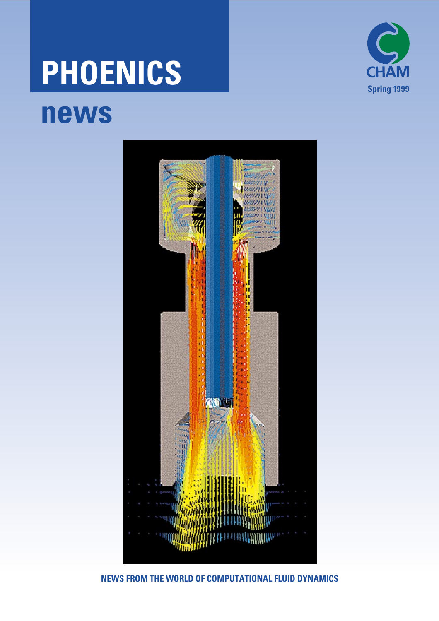# **PHOENICS**



## **news**



#### **NEWS FROM THE WORLD OF COMPUTATIONAL FLUID DYNAMICS**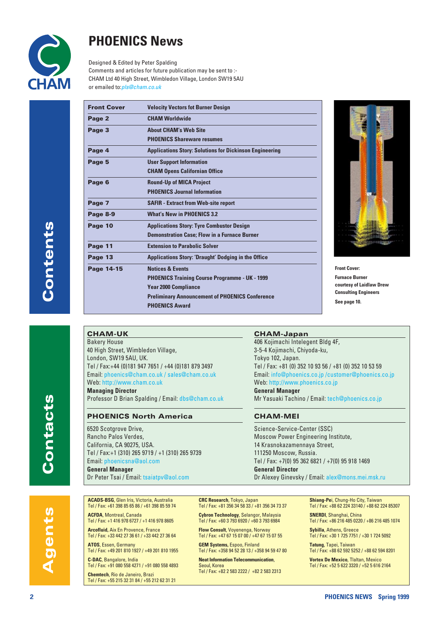

### **PHOENICS News**

Designed & Edited by Peter Spalding Comments and articles for future publication may be sent to :- CHAM Ltd 40 High Street, Wimbledon Village, London SW19 5AU or emailed to:pls@cham.co.uk

| <b>Front Cover</b> | <b>Velocity Vectors fot Burner Design</b>                      |
|--------------------|----------------------------------------------------------------|
| Page 2             | <b>CHAM Worldwide</b>                                          |
| Page 3             | <b>About CHAM's Web Site</b>                                   |
|                    | <b>PHOENICS Shareware resumes</b>                              |
| Page 4             | <b>Applications Story: Solutions for Dickinson Engineering</b> |
| Page 5             | <b>User Support Information</b>                                |
|                    | <b>CHAM Opens Californian Office</b>                           |
| Page 6             | <b>Round-Up of MICA Project</b>                                |
|                    | <b>PHOENICS Journal Information</b>                            |
| Page 7             | <b>SAFIR - Extract from Web-site report</b>                    |
| Page 8-9           | <b>What's New in PHOENICS 3.2</b>                              |
| Page 10            | <b>Applications Story: Tyre Combustor Design</b>               |
|                    | <b>Demonstration Case; Flow in a Furnace Burner</b>            |
| Page 11            | <b>Extension to Parabolic Solver</b>                           |
| Page 13            | <b>Applications Story: 'Draught' Dodging in the Office</b>     |
| Page 14-15         | <b>Notices &amp; Events</b>                                    |
|                    | <b>PHOENICS Training Course Programme - UK - 1999</b>          |
|                    | <b>Year 2000 Compliance</b>                                    |
|                    | <b>Preliminary Announcement of PHOENICS Conference</b>         |
|                    | <b>PHOENICS Award</b>                                          |



**Front Cover: Furnace Burner courtesy of Laidlaw Drew Consulting Engineers See page 10.**

### **CHAM-UK**

Bakery House 40 High Street, Wimbledon Village, London, SW19 5AU, UK. Tel / Fax:+44 (0)181 947 7651 / +44 (0)181 879 3497 Email: phoenics@cham.co.uk / sales@cham.co.uk Web: http://www.cham.co.uk **Managing Director**

Professor D Brian Spalding / Email: dbs@cham.co.uk

#### **PHOENICS North America**

6520 Scotgrove Drive, Rancho Palos Verdes, California, CA 90275, USA. Tel / Fax:+1 (310) 265 9719 / +1 (310) 265 9739 Email: phoenicsna@aol.com **General Manager** Dr Peter Tsai / Email: tsaiatpv@aol.com

#### **CHAM-Japan**

406 Kojimachi Intelegent Bldg 4F, 3-5-4 Kojimachi, Chiyoda-ku, Tokyo 102, Japan. Tel / Fax: +81 (0) 352 10 93 56 / +81 (0) 352 10 53 59 Email: info@phoenics.co.jp /customer@phoenics.co.jp Web: http://www.phoenics.co.jp **General Manager**

Mr Yasuaki Tachino / Email: tech@phoenics.co.jp

#### **CHAM-MEI**

Science-Service-Center (SSC) Moscow Power Engineering Institute, 14 Krasnokazamennaya Street, 111250 Moscow, Russia. Tel / Fax: +7(0) 95 362 6821 / +7(0) 95 918 1469 **General Director** Dr Alexey Ginevsky / Email: alex@mons.mei.msk.ru

aends

**Contacts**

Contacts

**ACADS-BSG**, Glen Iris, Victoria, Australia Tel / Fax: +61 398 85 65 86 / +61 398 85 59 74 **ACFDA**, Montreal, Canada

Tel / Fax: +1 416 978 6727 / +1 416 978 8605 **Arcofluid,** Aix En Provence, France Tel / Fax: +33 442 27 36 61 / +33 442 27 36 64

**ATOS**, Essen, Germany Tel / Fax: +49 201 810 1927 / +49 201 810 1955

**C-DAC**, Bangalore, India Tel / Fax: +91 080 558 4271 / +91 080 558 4893

**Chemtech**, Rio de Janeiro, Brazi Tel / Fax: +55 215 32 31 84 / +55 212 62 31 21 **CRC Research**, Tokyo, Japan Tel / Fax: +81 356 34 58 33 / +81 356 34 73 37

**Cybron Technology**, Selangor, Malaysia Tel / Fax: +60 3 793 6920 / +60 3 793 6984

**Flow Consult**, Voyenenga, Norway Tel / Fax: +47 67 15 07 00 / +47 67 15 07 55

**GEM Systems,** Espoo, Finland Tel / Fax: +358 94 52 28 13 / +358 94 59 47 80

**Neat Information Telecommunication**, Seoul, Korea

Tel / Fax: +82 2 583 2222 / +82 2 583 2313

**Shiang-Pe**i, Chung-Ho City, Taiwan Tel / Fax: +88 62 224 33140 / +88 62 224 85307

**SNERDI**, Shanghai, China Tel / Fax: +86 216 485 0220 / +86 216 485 1074

**Sybilla**, Athens, Greece Tel / Fax: +30 1 725 7751 / +30 1 724 5092

**Tatung**, Tapei, Taiwan Tel / Fax: +88 62 592 5252 / +88 62 594 8201

**Vortex De Mexico**, Tlaltan, Mexico Tel / Fax: +52 5 622 3320 / +52 5 616 2164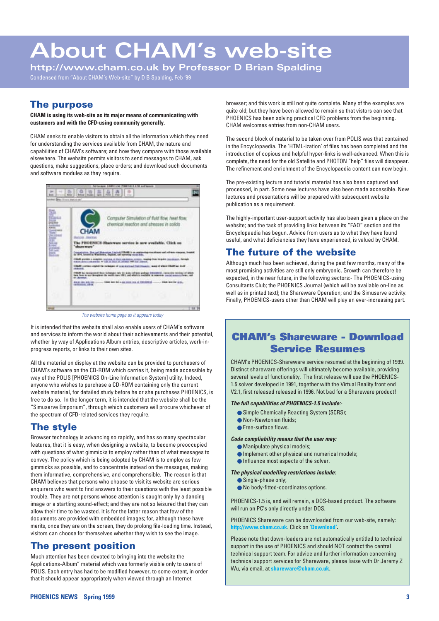## **About CHAM's web-site**

**http://www.cham.co.uk by Professor D Brian Spalding** Condensed from "About CHAM's Web-site" by D B Spalding, Feb '99

#### **The purpose**

**CHAM is using its web-site as its major means of communicating with customers and with the CFD-using community generally.** 

CHAM seeks to enable visitors to obtain all the information which they need for understanding the services available from CHAM, the nature and capabilities of CHAM's software; and how they compare with those available elsewhere. The website permits visitors to send messages to CHAM, ask questions, make suggestions, place orders; and download such documents and software modules as they require.



The website home page as it appears today

It is intended that the website shall also enable users of CHAM's software and services to inform the world about their achievements and their potential, whether by way of Applications Album entries, descriptive articles, work-inprogress reports, or links to their own sites.

All the material on display at the website can be provided to purchasers of CHAM's software on the CD-ROM which carries it, being made accessible by way of the POLIS [PHOENICS On-Line Information System] utility. Indeed, anyone who wishes to purchase a CD-ROM containing only the current website material, for detailed study before he or she purchases PHOENICS, is free to do so. In the longer term, it is intended that the website shall be the "Simuserve Emporium", through which customers will procure whichever of the spectrum of CFD-related services they require.

#### **The style**

Browser technology is advancing so rapidly, and has so many spectacular features, that it is easy, when designing a website, to become preoccupied with questions of what gimmicks to employ rather than of what messages to convey. The policy which is being adopted by CHAM is to employ as few gimmicks as possible, and to concentrate instead on the messages, making them informative, comprehensive, and comprehensible. The reason is that CHAM believes that persons who choose to visit its website are serious enquirers who want to find answers to their questions with the least possible trouble. They are not persons whose attention is caught only by a dancing image or a startling sound-effect; and they are not so leisured that they can allow their time to be wasted. It is for the latter reason that few of the documents are provided with embedded images; for, although these have merits, once they are on the screen, they do prolong file-loading time. Instead, visitors can choose for themselves whether they wish to see the image.

#### **The present position**

Much attention has been devoted to bringing into the website the Applications-Album" material which was formerly visible only to users of POLIS. Each entry has had to be modified however, to some extent, in order that it should appear appropriately when viewed through an Internet

browser; and this work is still not quite complete. Many of the examples are quite old; but they have been allowed to remain so that vistors can see that PHOENICS has been solving practical CFD problems from the beginning. CHAM welcomes entries from non-CHAM users.

The second block of material to be taken over from POLIS was that contained in the Encyclopaedia. The 'HTML-ization' of files has been completed and the introduction of copious and helpful hyper-links is well-advanced. When this is complete, the need for the old Satellite and PHOTON "help" files will disappear. The refinement and enrichment of the Encyclopaedia content can now begin.

The pre-existing lecture and tutorial material has also been captured and processed, in part. Some new lectures have also been made accessible. New lectures and presentations will be prepared with subsequent website publication as a requirement.

The highly-important user-support activity has also been given a place on the website; and the task of providing links between its "FAQ" section and the Encyclopaedia has begun. Advice from users as to what they have found useful, and what deficiencies they have experienced, is valued by CHAM.

#### **The future of the website**

Although much has been achieved, during the past few months, many of the most promising activities are still only embryonic. Growth can therefore be expected, in the near future, in the following sectors:- The PHOENICS-using Consultants Club; the PHOENICS Journal (which will be available on-line as well as in printed text); the Shareware Operation; and the Simuserve activity. Finally, PHOENICS-users other than CHAM will play an ever-increasing part.

### **CHAM's Shareware - Download Service Resumes**

CHAM's PHOENICS-Shareware service resumed at the beginning of 1999. Distinct shareware offerings will ultimately become available, providing several levels of functionality, The first release will use the PHOENICS-1.5 solver developed in 1991, together with the Virtual Reality front end V2.1, first released released in 1996. Not bad for a Shareware product!

#### **The full capabilities of PHOENICS-1.5 include:**-

- Simple Chemically Reacting System (SCRS);
- Non-Newtonian fluids:
- Free-surface flows.

**Code compliability means that the user may:**

- Manipulate physical models;
- Implement other physical and numerical models;
- Influence most aspects of the solver.

#### **The physical modelling restrictions include:**

- Single-phase only;
- No body-fitted-coordinates options.

PHOENICS-1.5 is, and will remain, a DOS-based product. The software will run on PC's only directly under DOS.

PHOENICS Shareware can be downloaded from our web-site, namely: **http://www.cham.co.uk**. Click on **'Download'.**

Please note that down-loaders are not automatically entitled to technical support in the use of PHOENICS and should NOT contact the central technical support team. For advice and further information concerning technical support services for Shareware, please liaise with Dr Jeremy Z Wu, via email, at **shareware@cham.co.uk.**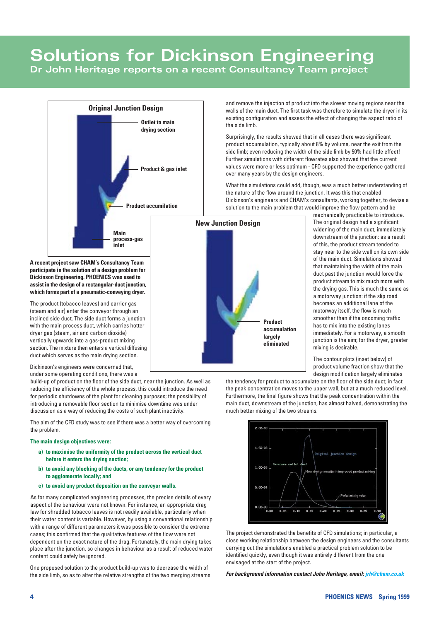## **Solutions for Dickinson Engineering**

**Dr John Heritage reports on a recent Consultancy Team project**



**A recent project saw CHAM's Consultancy Team participate in the solution of a design problem for Dickinson Engineering. PHOENICS was used to assist in the design of a rectangular-duct junction, which forms part of a pneumatic-conveying dryer.**

The product (tobacco leaves) and carrier gas (steam and air) enter the conveyor through an inclined side duct. The side duct forms a junction with the main process duct, which carries hotter dryer gas (steam, air and carbon dioxide) vertically upwards into a gas-product mixing section. The mixture then enters a vertical diffusing duct which serves as the main drying section.

Dickinson's engineers were concerned that, under some operating conditions, there was a

build-up of product on the floor of the side duct, near the junction. As well as reducing the efficiency of the whole process, this could introduce the need for periodic shutdowns of the plant for cleaning purposes; the possibility of introducing a removable floor section to minimise downtime was under discussion as a way of reducing the costs of such plant inactivity.

The aim of the CFD study was to see if there was a better way of overcoming the problem.

#### **The main design objectives were:**

- **a) to maximise the uniformity of the product across the vertical duct before it enters the drying section;**
- **b) to avoid any blocking of the ducts, or any tendency for the product to agglomerate locally; and**
- **c) to avoid any product deposition on the conveyor walls.**

As for many complicated engineering processes, the precise details of every aspect of the behaviour were not known. For instance, an appropriate drag law for shredded tobacco leaves is not readily available, particularly when their water content is variable. However, by using a conventional relationship with a range of different parameters it was possible to consider the extreme cases; this confirmed that the qualitative features of the flow were not dependent on the exact nature of the drag. Fortunately, the main drying takes place after the junction, so changes in behaviour as a result of reduced water content could safely be ignored.

One proposed solution to the product build-up was to decrease the width of the side limb, so as to alter the relative strengths of the two merging streams and remove the injection of product into the slower moving regions near the walls of the main duct. The first task was therefore to simulate the dryer in its existing configuration and assess the effect of changing the aspect ratio of the side limb.

Surprisingly, the results showed that in all cases there was significant product accumulation, typically about 8% by volume, near the exit from the side limb; even reducing the width of the side limb by 50% had little effect! Further simulations with different flowrates also showed that the current values were more or less optimum - CFD supported the experience gathered over many years by the design engineers.

What the simulations could add, though, was a much better understanding of the nature of the flow around the junction. It was this that enabled Dickinson's engineers and CHAM's consultants, working together, to devise a solution to the main problem that would improve the flow pattern and be



mechanically practicable to introduce. The original design had a significant widening of the main duct, immediately downstream of the junction: as a result of this, the product stream tended to stay near to the side wall on its own side of the main duct. Simulations showed that maintaining the width of the main duct past the junction would force the product stream to mix much more with the drying gas. This is much the same as a motorway junction: if the slip road becomes an additional lane of the motorway itself, the flow is much smoother than if the oncoming traffic has to mix into the existing lanes immediately. For a motorway, a smooth junction is the aim; for the dryer, greater mixing is desirable.

The contour plots (inset below) of product volume fraction show that the design modification largely eliminates

the tendency for product to accumulate on the floor of the side duct; in fact the peak concentration moves to the upper wall, but at a much reduced level. Furthermore, the final figure shows that the peak concentration within the main duct, downstream of the junction, has almost halved, demonstrating the much better mixing of the two streams.



The project demonstrated the benefits of CFD simulations; in particular, a close working relationship between the design engineers and the consultants carrying out the simulations enabled a practical problem solution to be identified quickly, even though it was entirely different from the one envisaged at the start of the project.

**For background information contact John Heritage, email: jrh@cham.co.uk**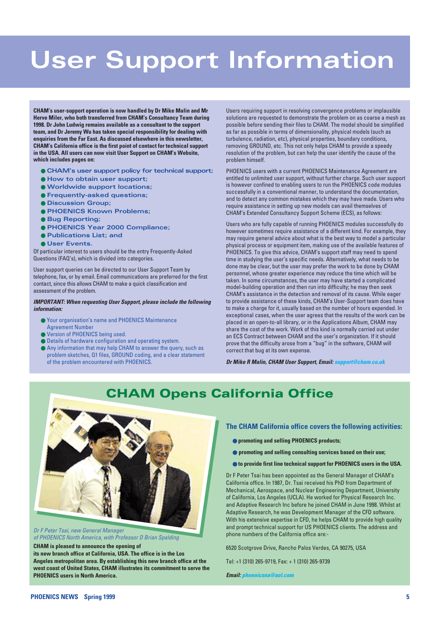## **User Support Information**

**CHAM's user-support operation is now handled by Dr Mike Malin and Mr Herve Miler, who both transferred from CHAM's Consultancy Team during 1998. Dr John Ludwig remains available as a consultant to the support team, and Dr Jeremy Wu has taken special responsibility for dealing with enquiries from the Far East. As discussed elsewhere in this newsletter, CHAM's California office is the first point of contact for technical support in the USA. All users can now visit User Support on CHAM's Website, which includes pages on:** 

- **CHAM's user support policy for technical support;**
- **How to obtain user support;**
- **Worldwide support locations;**
- **Frequently-asked questions;**
- **Discussion Group;**
- **PHOENICS Known Problems;**
- **Bug Reporting;**
- **PHOENICS Year 2000 Compliance;**
- **Publications List; and**
- **User Events.**

Of particular interest to users should be the entry Frequently-Asked Questions (FAQ's), which is divided into categories.

User support queries can be directed to our User Support Team by telephone, fax, or by email. Email communications are preferred for the first contact, since this allows CHAM to make a quick classification and assessment of the problem.

#### **IMPORTANT: When requesting User Support, please include the following information:**

- Your organisation's name and PHOENICS Maintenance Agreement Number
- Version of PHOENICS being used.
- Details of hardware configuration and operating system.
- Any information that may help CHAM to answer the query, such as problem sketches, Q1 files, GROUND coding, and a clear statement of the problem encountered with PHOENICS.

Users requiring support in resolving convergence problems or implausible solutions are requested to demonstrate the problem on as coarse a mesh as possible before sending their files to CHAM. The model should be simplified as far as possible in terms of dimensionality, physical models (such as turbulence, radiation, etc), physical properties, boundary conditions, removing GROUND, etc. This not only helps CHAM to provide a speedy resolution of the problem, but can help the user identify the cause of the problem himself.

PHOENICS users with a current PHOENICS Maintenance Agreement are entitled to unlimited user support, without further charge. Such user support is however confined to enabling users to run the PHOENICS code modules successfully in a conventional manner, to understand the documentation, and to detect any common mistakes which they may have made. Users who require assistance in setting up new models can avail themselves of CHAM's Extended Consultancy Support Scheme (ECS), as follows:

Users who are fully capable of running PHOENICS modules successfully do however sometimes require assistance of a different kind. For example, they may require general advice about what is the best way to model a particular physical process or equipment item, making use of the available features of PHOENICS. To give this advice, CHAM's support staff may need to spend time in studying the user's specific needs. Alternatively, what needs to be done may be clear, but the user may prefer the work to be done by CHAM personnel, whose greater experience may reduce the time which will be taken. In some circumstances, the user may have started a complicated model-building operation and then run into difficulty; he may then seek CHAM's assistance in the detection and removal of its cause. While eager to provide assistance of these kinds, CHAM's User-Support team does have to make a charge for it, usually based on the number of hours expended. In exceptional cases, when the user agrees that the results of the work can be placed in an open-to-all library, or in the Applications Album, CHAM may share the cost of the work. Work of this kind is normally carried out under an ECS Contract between CHAM and the user's organization. If it should prove that the difficulty arose from a "bug" in the software, CHAM will correct that bug at its own expense.

**Dr Mike R Malin, CHAM User Support, Email: support@cham.co.uk**

## **CHAM Opens California Office**



**CHAM is pleased to announce the opening of** Dr F Peter Tsai, new General Manager of PHOENICS North America, with Professor D Brian Spalding

**its new branch office at California, USA. The office is in the Los Angeles metropolitan area. By establishing this new branch office at the west coast of United States, CHAM illustrates its commitment to serve the PHOENICS users in North America.** 

#### **The CHAM California office covers the following activities:**

- **promoting and selling PHOENICS products**;
- **promoting and selling consulting services based on their use;**
- **to provide first line technical support for PHOENICS users in the USA.**

Dr F Peter Tsai has been appointed as the General Manager of CHAM's California office. In 1987, Dr. Tsai received his PhD from Department of Mechanical, Aerospace, and Nuclear Engineering Department, University of California, Los Angeles (UCLA). He worked for Physical Research Inc. and Adaptive Research Inc before he joined CHAM in June 1998. Whilst at Adaptive Research, he was Development Manager of the CFD software. With his extensive expertise in CFD, he helps CHAM to provide high quality and prompt technical support for US PHOENICS clients. The address and phone numbers of the California office are:-

6520 Scotgrove Drive, Rancho Palos Verdes, CA 90275, USA

Tel: +1 (310) 265-9719, Fax: + 1 (310) 265-9739

**Email: phoenicsna@aol.com**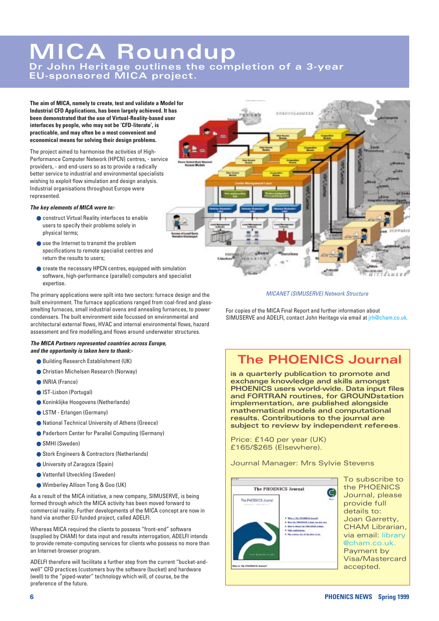## **MICA Roundup Dr John Heritage outlines the completion of a 3-year**

**EU-sponsored MICA project.**

**The aim of MICA, namely to create, test and validate a Model for Industrial CFD Applications, has been largely achieved. It has been demonstrated that the use of Virtual-Reality-based user interfaces by people, who may not be 'CFD-literate', is practicable, and may often be a most convenient and economical means for solving their design problems.**

The project aimed to harmonise the activities of High-Performance Computer Network (HPCN) centres, - service providers, - and end-users so as to provide a radically better service to industrial and environmental specialists wishing to exploit flow simulation and design analysis. Industrial organisations throughout Europe were represented.

**The key elements of MICA were to:**-

- construct Virtual Reality interfaces to enable users to specify their problems solely in physical terms;
- use the Internet to transmit the problem specifications to remote specialist centres and return the results to users;
- create the necessary HPCN centres, equipped with simulation software, high-performance (parallel) computers and specialist expertise.

The primary applications were spilt into two sectors: furnace design and the built environment. The furnace applications ranged from coal-fired and glasssmelting furnaces, small industrial ovens and annealing furnances, to power condensers. The built environment side focussed on environmental and architectural external flows, HVAC and internal environmental flows, hazard assessment and fire modelling,and flows around underwater structures.

#### **The MICA Partners represented countries across Europe, and the opportunity is taken here to thank:-**

- Building Research Establishment (UK)
- Christian Michelsen Research (Norway)
- INRIA (France)
- IST-Lisbon (Portugal)
- Koninklijke Hoogovens (Netherlands)
- LSTM Erlangen (Germany)
- National Technical University of Athens (Greece)
- Paderborn Center for Parallel Computing (Germany)
- SMHI (Sweden)
- Stork Engineers & Contractors (Netherlands)
- University of Zaragoza (Spain)
- Vattenfall Utveckling (Sweden)
- Wimberley Allison Tong & Goo (UK)

As a result of the MICA initiative, a new company, SIMUSERVE, is being formed through which the MICA activity has been moved forward to commercial reality. Further developments of the MICA concept are now in hand via another EU-funded project, called ADELFI.

Whereas MICA required the clients to possess "front-end" software (supplied by CHAM) for data input and results interrogation, ADELFI intends to provide remote-computing services for clients who possess no more than an Internet-browser program.

ADELFI therefore will facilitate a further step from the current "bucket-andwell" CFD practices (customers buy the software (bucket) and hardware (well) to the "piped-water" technology which will, of course, be the preference of the future.



#### MICANET (SIMUSERVE) Network Structure

For copies of the MICA Final Report and further information about SIMUSERVE and ADELFI, contact John Heritage via email at jrh@cham.co.uk.

### **The PHOENICS Journal**

**is a quarterly publication to promote and exchange knowledge and skills amongst PHOENICS users world-wide. Data input files and FORTRAN routines, for GROUNDstation implementation, are published alongside mathematical models and computational results. Contributions to the journal are subject to review by independent referees**.

Price: £140 per year (UK) £165/\$265 (Elsewhere).

Journal Manager: Mrs Sylvie Stevens



To subscribe to the PHOENICS Journal, please provide full details to: Joan Garretty, CHAM Librarian, via email: library @cham.co.uk. Payment by Visa/Mastercard accepted.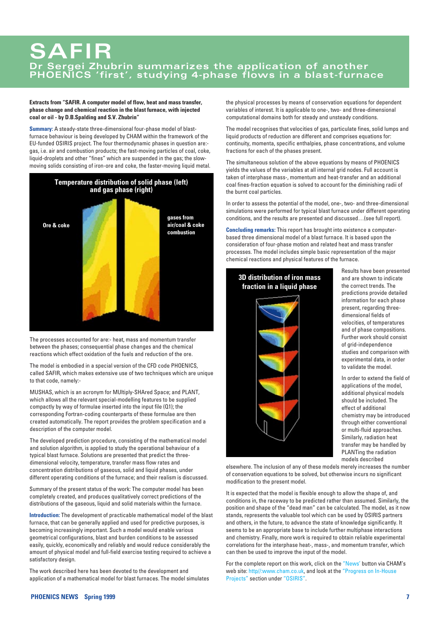### **SAFIR Dr Sergei Zhubrin summarizes the application of another PHOENICS 'first', studying 4-phase flows in a blast-furnace**

#### **Extracts from "SAFIR. A computer model of flow, heat and mass transfer, phase change and chemical reaction in the blast furnace, with injected coal or oil - by D.B.Spalding and S.V. Zhubrin"**

**Summary:** A steady-state three-dimensional four-phase model of blastfurnace behaviour is being developed by CHAM within the framework of the EU-funded OSIRIS project. The four thermodynamic phases in question are: gas, i.e. air and combustion products; the fast-moving particles of coal, coke, liquid-droplets and other "fines" which are suspended in the gas; the slowmoving solids consisting of iron-ore and coke, the faster-moving liquid metal.



The processes accounted for are:- heat, mass and momentum transfer between the phases; consequential phase changes and the chemical reactions which effect oxidation of the fuels and reduction of the ore.

The model is embodied in a special version of the CFD code PHOENICS, called SAFIR, which makes extensive use of two techniques which are unique to that code, namely:-

MUSHAS, which is an acronym for MUltiply-SHAred Space; and PLANT, which allows all the relevant special-modelling features to be supplied compactly by way of formulae inserted into the input file (Q1); the corresponding Fortran-coding counterparts of these formulae are then created automatically. The report provides the problem specification and a description of the computer model.

The developed prediction procedure, consisting of the mathematical model and solution algorithm, is applied to study the operational behaviour of a typical blast furnace. Solutions are presented that predict the threedimensional velocity, temperature, transfer mass flow rates and concentration distributions of gaseous, solid and liquid phases, under different operating conditions of the furnace; and their realism is discussed.

Summary of the present status of the work: The computer model has been completely created, and produces qualitatively correct predictions of the distributions of the gaseous, liquid and solid materials within the furnace.

**Introduction:** The development of practicable mathematical model of the blast furnace, that can be generally applied and used for predictive purposes, is becoming increasingly important. Such a model would enable various geometrical configurations, blast and burden conditions to be assessed easily, quickly, economically and reliably and would reduce considerably the amount of physical model and full-field exercise testing required to achieve a satisfactory design.

The work described here has been devoted to the development and application of a mathematical model for blast furnaces. The model simulates the physical processes by means of conservation equations for dependent variables of interest. It is applicable to one-, two- and three-dimensional computational domains both for steady and unsteady conditions.

The model recognises that velocities of gas, particulate fines, solid lumps and liquid products of reduction are different and comprises equations for: continuity, momenta, specific enthalpies, phase concentrations, and volume fractions for each of the phases present.

The simultaneous solution of the above equations by means of PHOENICS yields the values of the variables at all internal grid nodes. Full account is taken of interphase mass-, momentum and heat-transfer and an additional coal fines-fraction equation is solved to account for the diminishing radii of the burnt coal particles.

In order to assess the potential of the model, one-, two- and three-dimensional simulations were performed for typical blast furnace under different operating conditions, and the results are presented and discussed…(see full report).

**Concluding remarks:** This report has brought into existence a computerbased three dimensional model of a blast furnace. It is based upon the consideration of four-phase motion and related heat and mass transfer processes. The model includes simple basic representation of the major chemical reactions and physical features of the furnace.



Results have been presented and are shown to indicate the correct trends. The predictions provide detailed information for each phase present, regarding threedimensional fields of velocities, of temperatures and of phase compositions. Further work should consist of grid-independence studies and comparison with experimental data, in order to validate the model.

In order to extend the field of applications of the model, additional physical models should be included. The effect of additional chemistry may be introduced through either conventional or multi-fluid approaches. Similarly, radiation heat transfer may be handled by PLANTing the radiation models described

elsewhere. The inclusion of any of these models merely increases the number of conservation equations to be solved, but otherwise incurs no significant modification to the present model.

It is expected that the model is flexible enough to allow the shape of, and conditions in, the raceway to be predicted rather than assumed. Similarly, the position and shape of the "dead man" can be calculated. The model, as it now stands, represents the valuable tool which can be used by OSIRIS partners and others, in the future, to advance the state of knowledge significantly. It seems to be an appropriate base to include further multiphase interactions and chemistry. Finally, more work is required to obtain reliable experimental correlations for the interphase heat-, mass-, and momentum transfer, which can then be used to improve the input of the model.

For the complete report on this work, click on the "News' button via CHAM's web site: http//:www.cham.co.uk, and look at the "Progress on In-House Projects" section under "OSIRIS".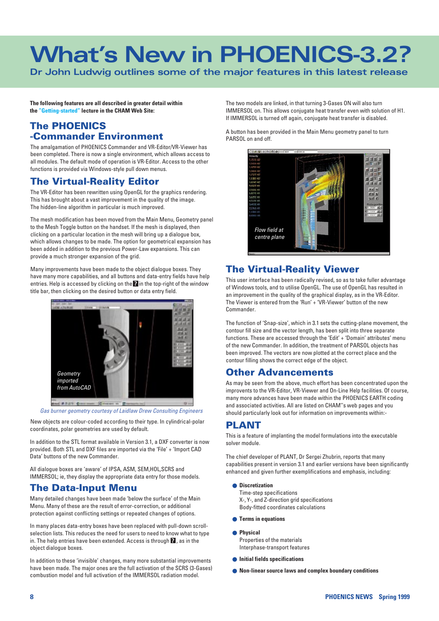## **What's New in PHOENICS-3.2?**

**Dr John Ludwig outlines some of the major features in this latest release**

**The following features are all described in greater detail within the "Getting-started" lecture in the CHAM Web Site:**

### **The PHOENICS -Commander Environment**

The amalgamation of PHOENICS Commander and VR-Editor/VR-Viewer has been completed. There is now a single environment, which allows access to all modules. The default mode of operation is VR-Editor. Access to the other functions is provided via Windows-style pull down menus.

#### **The Virtual-Reality Editor**

The VR-Editor has been rewritten using OpenGL for the graphics rendering. This has brought about a vast improvement in the quality of the image. The hidden-line algorithm in particular is much improved.

The mesh modification has been moved from the Main Menu, Geometry panel to the Mesh Toggle button on the handset. If the mesh is displayed, then clicking on a particular location in the mesh will bring up a dialogue box, which allows changes to be made. The option for geometrical expansion has been added in addition to the previous Power-Law expansions. This can provide a much stronger expansion of the grid.

Many improvements have been made to the object dialogue boxes. They have many more capabilities, and all buttons and data-entry fields have help entries. Help is accessed by clicking on the **?** in the top-right of the window title bar, then clicking on the desired button or data entry field.



Gas burner geometry courtesy of Laidlaw Drew Consulting Engineers

New objects are colour-coded according to their type. In cylindrical-polar coordinates, polar geometries are used by default.

In addition to the STL format available in Version 3.1, a DXF converter is now provided. Both STL and DXF files are imported via the 'File' + 'Import CAD Data' buttons of the new Commander.

All dialogue boxes are 'aware' of IPSA, ASM, SEM,HOL,SCRS and IMMERSOL; ie, they display the appropriate data entry for those models.

#### **The Data-Input Menu**

Many detailed changes have been made 'below the surface' of the Main Menu. Many of these are the result of error-correction, or additional protection against conflicting settings or repeated changes of options.

In many places data-entry boxes have been replaced with pull-down scrollselection lists. This reduces the need for users to need to know what to type in. The help entries have been extended. Access is through **?** , as in the object dialogue boxes.

In addition to these 'invisible' changes, many more substantial improvements have been made. The major ones are the full activation of the SCRS (3-Gases) combustion model and full activation of the IMMERSOL radiation model.

The two models are linked, in that turning 3-Gases ON will also turn IMMERSOL on. This allows conjugate heat transfer even with solution of H1. If IMMERSOL is turned off again, conjugate heat transfer is disabled.

A button has been provided in the Main Menu geometry panel to turn PARSOL on and off.



### **The Virtual-Reality Viewer**

This user interface has been radically revised, so as to take fuller advantage of Windows tools, and to utilise OpenGL. The use of OpenGL has resulted in an improvement in the quality of the graphical display, as in the VR-Editor. The Viewer is entered from the 'Run' + 'VR-Viewer' button of the new Commander.

The function of 'Snap-size', which in 3.1 sets the cutting-plane movement, the contour fill size and the vector length, has been split into three separate functions. These are accessed through the 'Edit' + 'Domain' attributes' menu of the new Commander. In addition, the treatment of PARSOL objects has been improved. The vectors are now plotted at the correct place and the contour filling shows the correct edge of the object.

#### **Other Advancements**

As may be seen from the above, much effort has been concentrated upon the improvents to the VR-Editor, VR-Viewer and On-Line Help facilities. Of course, many more advances have been made within the PHOENICS EARTH coding and associated activities. All are listed on CHAM''s web pages and you should particularly look out for information on improvements within:-

#### **PLANT**

This is a feature of implanting the model formulations into the executable solver module.

The chief developer of PLANT, Dr Sergei Zhubrin, reports that many capabilities present in version 3.1 and earlier versions have been significantly enhanced and given further exemplifications and emphasis, including:

#### ● **Discretization**

Time-step specifications X-, Y-, and Z-direction grid specifications Body-fitted coordinates calculations

- **Terms in equations**
- **Physical** Properties of the materials Interphase-transport features
- **Initial fields specifications**
- **Non-linear source laws and complex boundary conditions**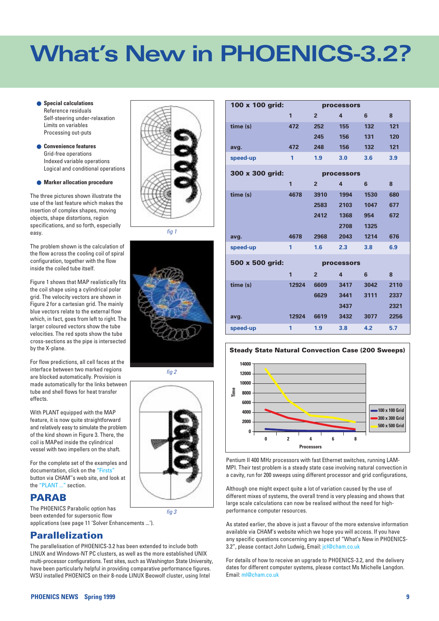## **What's New in PHOENICS-3.2?**

- **Special calculations** Reference residuals Self-steering under-relaxation Limits on variables Processing out-puts
- **Convenience features** Grid-free operations Indexed variable operations Logical and conditional operations
- **Marker allocation procedure**

The three pictures shown illustrate the use of the last feature which makes the insertion of complex shapes, moving objects, shape distortions, region specifications, and so forth, especially easy.

The problem shown is the calculation of the flow across the cooling coil of spiral configuration, together with the flow inside the coiled tube itself.

Figure 1 shows that MAP realistically fits the coil shape using a cylindrical polar grid. The velocity vectors are shown in Figure 2 for a cartesian grid. The mainly blue vectors relate to the external flow which, in fact, goes from left to right. The larger coloured vectors show the tube velocities. The red spots show the tube cross-sections as the pipe is intersected by the X-plane.

For flow predictions, all cell faces at the interface between two marked regions are blocked automatically. Provision is made automatically for the links between tube and shell flows for heat transfer effects.

With PLANT equipped with the MAP feature, it is now quite straightforward and relatively easy to simulate the problem of the kind shown in Figure 3. There, the coil is MAPed inside the cylindrical vessel with two impellers on the shaft.

For the complete set of the examples and documentation, click on the "Firsts" button via CHAM''s web site, and look at the "PLANT ..." section.

#### **PARAB**

The PHOENICS Parabolic option has been extended for supersonic flow applications (see page 11 'Solver Enhancements ...').

### **Parallelization**

The parallelisation of PHOENICS-3.2 has been extended to include both LINUX and Windows-NT PC clusters, as well as the more established UNIX multi-processor configurations. Test sites, such as Washington State University, have been particularly helpful in providing comparative performance figures. WSU installed PHOENICS on their 8-node LINUX Beowolf cluster, using Intel



fig 1









|                 | $\mathbf{1}$ | $\overline{2}$ | $\overline{4}$    | 6    | 8    |
|-----------------|--------------|----------------|-------------------|------|------|
| time (s)        | 472          | 252            | 155               | 132  | 121  |
|                 |              | 245            | 156               | 131  | 120  |
| avg.            | 472          | 248            | 156               | 132  | 121  |
| speed-up        | 1            | 1.9            | 3.0               | 3.6  | 3.9  |
| 300 x 300 grid: |              |                | <b>processors</b> |      |      |
|                 | 1            | $\overline{2}$ | $\overline{4}$    | 6    | 8    |
| time (s)        | 4678         | 3910           | 1994              | 1530 | 680  |
|                 |              | 2583           | 2103              | 1047 | 677  |
|                 |              | 2412           | 1368              | 954  | 672  |
|                 |              |                | 2708              | 1325 |      |
| avg.            | 4678         | 2968           | 2043              | 1214 | 676  |
| speed-up        | 1            | 1.6            | 2.3               | 3.8  | 6.9  |
| 500 x 500 grid: |              |                | processors        |      |      |
|                 | 1            | $\overline{2}$ | 4                 | 6    | 8    |
| time (s)        | 12924        | 6609           | 3417              | 3042 | 2110 |
|                 |              | 6629           | 3441              | 3111 | 2337 |
|                 |              |                | 3437              |      | 2321 |
| avg.            | 12924        | 6619           | 3432              | 3077 | 2256 |
| speed-up        | 1            | 1.9            | 3.8               | 4.2  | 5.7  |
|                 |              |                |                   |      |      |

**100 x 100 grid: processors**



Pentium II 400 MHz processors with fast Ethernet switches, running LAM-MPI. Their test problem is a steady state case involving natural convection in a cavity, run for 200 sweeps using different processor and grid configurations,

Although one might expect quite a lot of variation caused by the use of different mixes of systems, the overall trend is very pleasing and shows that large scale calculations can now be realised without the need for highperformance computer resources.

As stated earlier, the above is just a flavour of the more extensive information available via CHAM's website which we hope you will access. If you have any specific questions concerning any aspect of "What's New in PHOENICS-3.2", please contact John Ludwig, Email: jcl@cham.co.uk

For details of how to receive an upgrade to PHOENICS-3.2, and the delivery dates for different computer systems, please contact Ms Michelle Langdon. Email: ml@cham.co.uk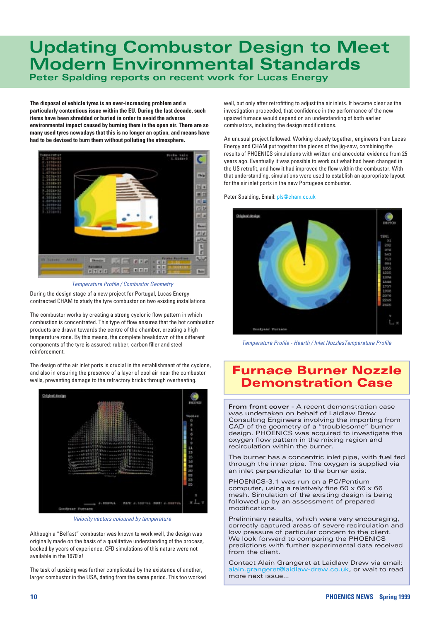### **Updating Combustor Design to Meet Modern Environmental Standards Peter Spalding reports on recent work for Lucas Energy**

**The disposal of vehicle tyres is an ever-increasing problem and a particularly contentious issue within the EU. During the last decade, such items have been shredded or buried in order to avoid the adverse environmental impact caused by burning them in the open air. There are so many used tyres nowadays that this is no longer an option, and means have had to be devised to burn them without polluting the atmosphere.**



Temperature Profile / Combustor Geometry

During the design stage of a new project for Portugal, Lucas Energy contracted CHAM to study the tyre combustor on two existing installations.

The combustor works by creating a strong cyclonic flow pattern in which combustion is concentrated. This type of flow ensures that the hot combustion products are drawn towards the centre of the chamber, creating a high temperature zone. By this means, the complete breakdown of the different components of the tyre is assured: rubber, carbon filler and steel reinforcement.

The design of the air inlet ports is crucial in the establishment of the cyclone, and also in ensuring the presence of a layer of cool air near the combustor walls, preventing damage to the refractory bricks through overheating.



Velocity vectors coloured by temperature

Although a "Belfast" combustor was known to work well, the design was originally made on the basis of a qualitative understanding of the process, backed by years of experience. CFD simulations of this nature were not available in the 1970's!

The task of upsizing was further complicated by the existence of another, larger combustor in the USA, dating from the same period. This too worked well, but only after retrofitting to adjust the air inlets. It became clear as the investigation proceeded, that confidence in the performance of the new upsized furnace would depend on an understanding of both earlier combustors, including the design modifications.

An unusual project followed. Working closely together, engineers from Lucas Energy and CHAM put together the pieces of the jig-saw, combining the results of PHOENICS simulations with written and anecdotal evidence from 25 years ago. Eventually it was possible to work out what had been changed in the US retrofit, and how it had improved the flow within the combustor. With that understanding, simulations were used to establish an appropriate layout for the air inlet ports in the new Portugese combustor.

Peter Spalding, Email: pls@cham.co.uk



Temperature Profile - Hearth / Inlet NozzlesTemperature Profile

### **Furnace Burner Nozzle Demonstration Case**

**From front cover** - A recent demonstration case was undertaken on behalf of Laidlaw Drew Consulting Engineers involving the importing from CAD of the geometry of a "troublesome" burner design. PHOENICS was acquired to investigate the oxygen flow pattern in the mixing region and recirculation within the burner.

The burner has a concentric inlet pipe, with fuel fed through the inner pipe. The oxygen is supplied via an inlet perpendicular to the burner axis.

PHOENICS-3.1 was run on a PC/Pentium computer, using a relatively fine 60 x 66 x 66 mesh. Simulation of the existing design is being followed up by an assessment of prepared modifications.

Preliminary results, which were very encouraging, correctly captured areas of severe recirculation and low pressure of particular concern to the client. We look forward to comparing the PHOENICS predictions with further experimental data received from the client.

Contact Alain Grangeret at Laidlaw Drew via email: alain.grangeret@laidlaw-drew.co.uk, or wait to read more next issue…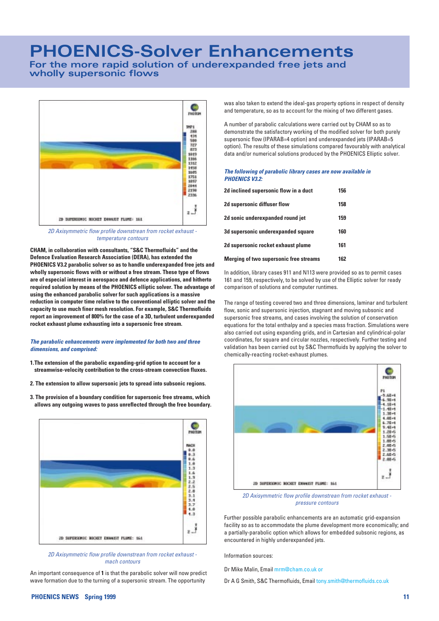## **PHOENICS-Solver Enhancements**

#### **For the more rapid solution of underexpanded free jets and wholly supersonic flows**



2D Axisymmetric flow profile downstrean from rocket exhaust temperature contours

**CHAM, in collaboration with consultants, "S&C Thermofluids" and the Defence Evaluation Research Association (DERA), has extended the PHOENICS V3.2 parabolic solver so as to handle underexpanded free jets and wholly supersonic flows with or without a free stream. These type of flows are of especial interest in aerospace and defence applications, and hitherto required solution by means of the PHOENICS elliptic solver. The advantage of using the enhanced parabolic solver for such applications is a massive reduction in computer time relative to the conventional elliptic solver and the capacity to use much finer mesh resolution. For example, S&C Thermofluids report an improvement of 800% for the case of a 3D, turbulent underexpanded rocket exhaust plume exhausting into a supersonic free stream.**

#### **The parabolic enhancements were implemented for both two and three dimensions, and comprised:**

- **1.The extension of the parabolic expanding-grid option to account for a streamwise-velocity contribution to the cross-stream convection fluxes.**
- **2. The extension to allow supersonic jets to spread into subsonic regions.**
- **3. The provision of a boundary condition for supersonic free streams, which allows any outgoing waves to pass unreflected through the free boundary.**



2D Axisymmetric flow profile downstrean from rocket exhaust mach contours

An important consequence of **1** is that the parabolic solver will now predict wave formation due to the turning of a supersonic stream. The opportunity

A number of parabolic calculations were carried out by CHAM so as to demonstrate the satisfactory working of the modified solver for both purely supersonic flow (IPARAB=4 option) and underexpanded jets (IPARAB=5 option). The results of these simulations compared favourably with analytical data and/or numerical solutions produced by the PHOENICS Elliptic solver.

#### **The following of parabolic library cases are now available in PHOENICS V3.2:**

| 2d inclined supersonic flow in a duct         | 156 |
|-----------------------------------------------|-----|
| 2d supersonic diffuser flow                   | 158 |
| 2d sonic underexpanded round jet              | 159 |
| 3d supersonic underexpanded square            | 160 |
| 2d supersonic rocket exhaust plume            | 161 |
| <b>Merging of two supersonic free streams</b> | 162 |

In addition, library cases 911 and N113 were provided so as to permit cases 161 and 159, respectively, to be solved by use of the Elliptic solver for ready comparison of solutions and computer runtimes.

The range of testing covered two and three dimensions, laminar and turbulent flow, sonic and supersonic injection, stagnant and moving subsonic and supersonic free streams, and cases involving the solution of conservation equations for the total enthalpy and a species mass fraction. Simulations were also carried out using expanding grids, and in Cartesian and cylindrical-polar coordinates, for square and circular nozzles, respectively. Further testing and validation has been carried out by S&C Thermofluids by applying the solver to chemically-reacting rocket-exhaust plumes.



2D Axisymmetric flow profile downstrean from rocket exhaust pressure contours

Further possible parabolic enhancements are an automatic grid-expansion facility so as to accommodate the plume development more economically; and a partially-parabolic option which allows for embedded subsonic regions, as encountered in highly underexpanded jets.

Information sources:

Dr Mike Malin, Email mrm@cham.co.uk or

Dr A G Smith, S&C Thermofluids, Email tony.smith@thermofluids.co.uk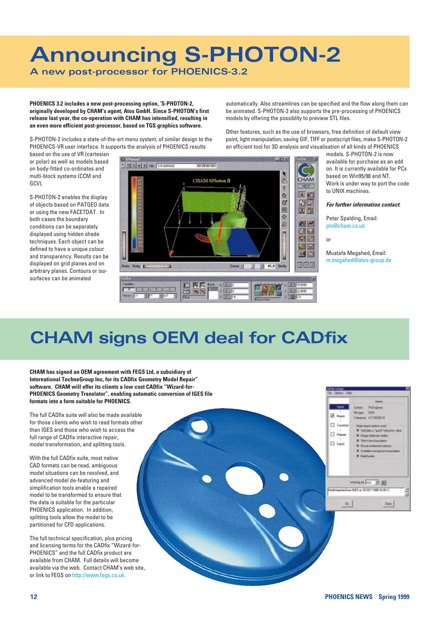## **Announcing S-PHOTON-2**

**A new post-processor for PHOENICS-3.2**

**PHOENICS 3.2 includes a new post-processing option, 'S-PHOTON-2, originally developed by CHAM's agent, Atos GmbH. Since S-PHOTON's first release last year, the co-operation with CHAM has intensified, resulting in an even more efficient post-processor, based on TGS graphics software.**

S-PHOTON-2 includes a state-of-the-art menu system, of similar design to the PHOENICS-VR user interface. It supports the analysis of PHOENICS results

automatically. Also streamlines can be specified and the flow along them can be animated. S-PHOTON-2 also supports the pre-processing of PHOENICS models by offering the possiblity to preview STL files.

Other features, such as the use of browsers, free definition of default view point, light manipulation, saving GIF, TIFF or postscript files, make S-PHOTON-2 an efficient tool for 3D analysis and visualisation of all kinds of PHOENICS models. S-PHOTON-2 is now

based on the use of VR (cartesian or polar) as well as models based on body-fitted co-ordinates and multi-block systems (CCM and GCV).

S-PHOTON-2 enables the display of objects based on PATGEO data or using the new FACETDAT. In both cases the boundary conditions can be separately displayed using hidden shade techniques. Each object can be defined to have a unique colour and transparency. Results can be displayed on grid planes and on arbitrary planes. Contours or isosurfaces can be animated



available for purchase as an add on. It is currently available for PCs based on Win95/98 and NT. Work is under way to port the code to UNIX machines.

**For further information contact**:

Peter Spalding, Email: pls@cham.co.uk

or

Mustafa Megahed, Email: m.megahed@atos-group.de

## **CHAM signs OEM deal for CADfix**

**CHAM has signed an OEM agreement with FEGS Ltd, a subsidiary of International TechneGroup Inc, for its CADfix Geometry Model Repair" software. CHAM will offer its clients a low cost CADfix "Wizard-for-PHOENICS Geometry Translator", enabling automatic conversion of IGES file formats into a form suitable for PHOENICS.**

The full CADfix suite will also be made available for those clients who wish to read formats other than IGES and those who wish to access the full range of CADfix interactive repair. model transformation, and splitting tools.

With the full CADfix suite, most native CAD formats can be read, ambiguous model situations can be resolved, and advanced model de-featuring and simplification tools enable a repaired model to be transformed to ensure that the data is suitable for the particular PHOENICS application. In addition, splitting tools allow the model to be partitioned for CFD applications.

The full technical specification, plus pricing and licensing terms for the CADfix "Wizard-for-PHOENICS" and the full CADfix product are available from CHAM. Full details will become available via the web. Contact CHAM's web site, or link to FEGS on http://www.fegs.co.uk.

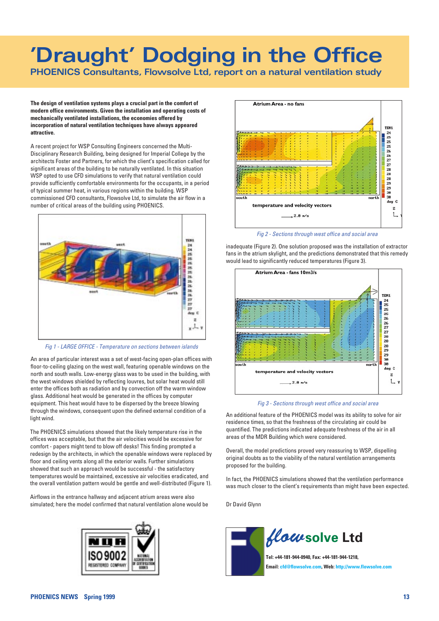## **'Draught' Dodging in the Office**

**PHOENICS Consultants, Flowsolve Ltd, report on a natural ventilation study**

**The design of ventilation systems plays a crucial part in the comfort of modern office environments. Given the installation and operating costs of mechanically ventilated installations, the economies offered by incorporation of natural ventilation techniques have always appeared attractive.**

A recent project for WSP Consulting Engineers concerned the Multi-Disciplinary Research Building, being designed for Imperial College by the architects Foster and Partners, for which the client's specification called for significant areas of the building to be naturally ventilated. In this situation WSP opted to use CFD simulations to verify that natural ventilation could provide sufficiently comfortable environments for the occupants, in a period of typical summer heat, in various regions within the building. WSP commissioned CFD consultants, Flowsolve Ltd, to simulate the air flow in a number of critical areas of the building using PHOENICS.



Fig 1 - LARGE OFFICE - Temperature on sections between islands

An area of particular interest was a set of west-facing open-plan offices with floor-to-ceiling glazing on the west wall, featuring openable windows on the north and south walls. Low-energy glass was to be used in the building, with the west windows shielded by reflecting louvres, but solar heat would still enter the offices both as radiation and by convection off the warm window glass. Additional heat would be generated in the offices by computer equipment. This heat would have to be dispersed by the breeze blowing through the windows, consequent upon the defined external condition of a light wind.

The PHOENICS simulations showed that the likely temperature rise in the offices was acceptable, but that the air velocities would be excessive for comfort - papers might tend to blow off desks! This finding prompted a redesign by the architects, in which the openable windows were replaced by floor and ceiling vents along all the exterior walls. Further simulations showed that such an approach would be successful - the satisfactory temperatures would be maintained, excessive air velocities eradicated, and the overall ventilation pattern would be gentle and well-distributed (Figure 1).

Airflows in the entrance hallway and adjacent atrium areas were also simulated; here the model confirmed that natural ventilation alone would be





Fig 2 - Sections through west office and social area

inadequate (Figure 2). One solution proposed was the installation of extractor fans in the atrium skylight, and the predictions demonstrated that this remedy would lead to significantly reduced temperatures (Figure 3).



Fig 3 - Sections through west office and social area

An additional feature of the PHOENICS model was its ability to solve for air residence times, so that the freshness of the circulating air could be quantified. The predictions indicated adequate freshness of the air in all areas of the MDR Building which were considered.

Overall, the model predictions proved very reassuring to WSP, dispelling original doubts as to the viability of the natural ventilation arrangements proposed for the building.

In fact, the PHOENICS simulations showed that the ventilation performance was much closer to the client's requirements than might have been expected.

Dr David Glynn

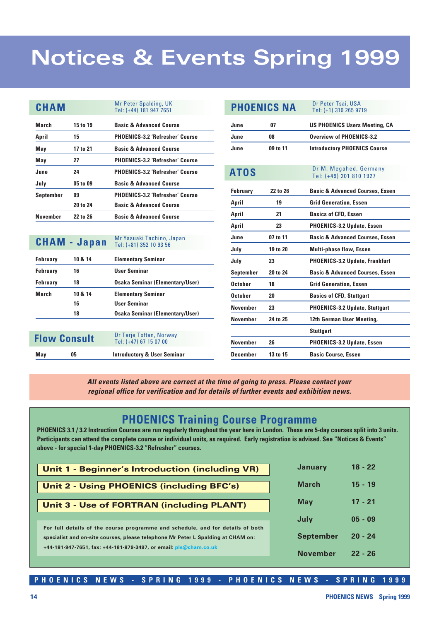## **Notices & Events Spring 1999**

| <b>CHAM</b>         |                     | Mr Peter Spalding, UK                             |                  | <b>PHOENICS NA</b> | Dr Peter Tsai, USA                                |
|---------------------|---------------------|---------------------------------------------------|------------------|--------------------|---------------------------------------------------|
|                     |                     | Tel: (+44) 181 947 7651                           |                  |                    | Tel: (+1) 310 265 9719                            |
| March               | 15 to 19            | <b>Basic &amp; Advanced Course</b>                | June             | 07                 | <b>US PHOENICS Users Meeting, CA</b>              |
| April               | 15                  | <b>PHOENICS-3.2 'Refresher' Course</b>            | June             | 08                 | <b>Overview of PHOENICS-3.2</b>                   |
| May                 | 17 to 21            | <b>Basic &amp; Advanced Course</b>                | June             | 09 to 11           | <b>Introductory PHOENICS Course</b>               |
| May                 | 27                  | <b>PHOENICS-3.2 'Refresher' Course</b>            |                  |                    |                                                   |
| June                | 24                  | <b>PHOENICS-3.2 'Refresher' Course</b>            | <b>ATOS</b>      |                    | Dr M. Megahed, Germany<br>Tel: (+49) 201 810 1927 |
| July                | 05 to 09            | <b>Basic &amp; Advanced Course</b>                |                  |                    |                                                   |
| <b>September</b>    | 09                  | <b>PHOENICS-3.2 'Refresher' Course</b>            | <b>February</b>  | 22 to 26           | <b>Basic &amp; Advanced Courses, Essen</b>        |
|                     | 20 to 24            | <b>Basic &amp; Advanced Course</b>                | April            | 19                 | <b>Grid Generation, Essen</b>                     |
| <b>November</b>     | 22 to 26            | <b>Basic &amp; Advanced Course</b>                | April            | 21                 | <b>Basics of CFD, Essen</b>                       |
|                     |                     |                                                   | April            | 23                 | <b>PHOENICS-3.2 Update, Essen</b>                 |
|                     | <b>CHAM - Japan</b> | Mr Yasuaki Tachino, Japan                         | June             | 07 to 11           | <b>Basic &amp; Advanced Courses, Essen</b>        |
|                     |                     | Tel: (+81) 352 10 93 56                           | July             | 19 to 20           | <b>Multi-phase flow, Essen</b>                    |
| <b>February</b>     | 10 & 14             | <b>Elementary Seminar</b>                         | July             | 23                 | <b>PHOENICS-3.2 Update, Frankfurt</b>             |
| <b>February</b>     | 16                  | <b>User Seminar</b>                               | <b>September</b> | 20 to 24           | <b>Basic &amp; Advanced Courses. Essen</b>        |
| <b>February</b>     | 18                  | <b>Osaka Seminar (Elementary/User)</b>            | <b>October</b>   | 18                 | <b>Grid Generation, Essen</b>                     |
| <b>March</b>        | 10 & 14             | <b>Elementary Seminar</b>                         | <b>October</b>   | 20                 | <b>Basics of CFD, Stuttgart</b>                   |
|                     | 16                  | <b>User Seminar</b>                               | <b>November</b>  | 23                 | <b>PHOENICS-3.2 Update, Stuttgart</b>             |
|                     | 18                  | <b>Osaka Seminar (Elementary/User)</b>            | <b>November</b>  | 24 to 25           | 12th German User Meeting,                         |
|                     |                     |                                                   |                  |                    | <b>Stuttgart</b>                                  |
| <b>Flow Consult</b> |                     | Dr Terje Toften, Norway<br>Tel: (+47) 67 15 07 00 | <b>November</b>  | 26                 | <b>PHOENICS-3.2 Update, Essen</b>                 |

Tel: (+47) 67 15 07 00 **May 05 Introductory & User Seminar**

> **All events listed above are correct at the time of going to press. Please contact your regional office for verification and for details of further events and exhibition news.**

### **PHOENICS Training Course Programme**

**PHOENICS 3.1 / 3.2 Instruction Courses are run regularly throughout the year here in London. These are 5-day courses split into 3 units. Participants can attend the complete course or individual units, as required. Early registration is advised. See "Notices & Events" above - for special 1-day PHOENICS-3.2 "Refresher" courses.**

| Unit 1 - Beginner's Introduction (including VR)                                  |  |  |
|----------------------------------------------------------------------------------|--|--|
| <b>Unit 2 - Using PHOENICS (including BFC's)</b>                                 |  |  |
| Unit 3 - Use of FORTRAN (including PLANT)                                        |  |  |
|                                                                                  |  |  |
| For full details of the course programme and schedule, and for details of both   |  |  |
| specialist and on-site courses, please telephone Mr Peter L Spalding at CHAM on: |  |  |
| +44-181-947-7651, fax: +44-181-879-3497, or email: $p/s@chain.co.uk$             |  |  |

| Januarv   | $18 - 22$ |
|-----------|-----------|
| March     | $15 - 19$ |
| Mav       | $17 - 21$ |
| July      | $05 - 09$ |
| September | $20 - 24$ |
| November  | 22 - 26   |
|           |           |

**December 13 to 15 Basic Course, Essen**

**PHOENICS NEWS - SPRING 1999 - PHOENICS NEWS - SPRING 1999**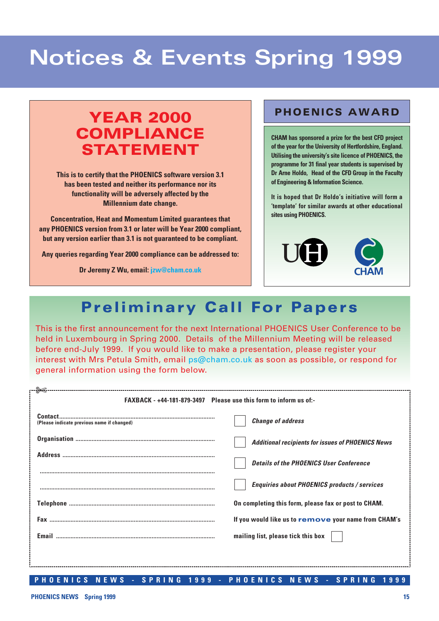## **Notices & Events Spring 1999**

## YEAR 2000 **PHOENICS AWARD COMPLIANCE STATEMENT**

**This is to certify that the PHOENICS software version 3.1 has been tested and neither its performance nor its functionality will be adversely affected by the Millennium date change.**

**Concentration, Heat and Momentum Limited guarantees that any PHOENICS version from 3.1 or later will be Year 2000 compliant, but any version earlier than 3.1 is not guaranteed to be compliant.** 

**Any queries regarding Year 2000 compliance can be addressed to:**

**Dr Jeremy Z Wu, email: jzw@cham.co.uk**

**CHAM has sponsored a prize for the best CFD project of the year for the University of Hertfordshire, England. Utilising the university's site licence of PHOENICS, the programme for 31 final year students is supervised by Dr Arne Holdo, Head of the CFD Group in the Faculty of Engineering & Information Science.**

**It is hoped that Dr Holdo's initiative will form a 'template' for similar awards at other educational sites using PHOENICS.**



## **Preliminary Call For Papers**

This is the first announcement for the next International PHOENICS User Conference to be held in Luxembourg in Spring 2000. Details of the Millennium Meeting will be released before end-July 1999. If you would like to make a presentation, please register your interest with Mrs Petula Smith, email ps@cham.co.uk as soon as possible, or respond for general information using the form below.

| <b>FAXBACK - +44-181-879-3497</b> Please use this form to inform us of:- |                                                          |
|--------------------------------------------------------------------------|----------------------------------------------------------|
|                                                                          |                                                          |
| (Please indicate previous name if changed)                               | <b>Change of address</b>                                 |
|                                                                          | <b>Additional recipients for issues of PHOENICS News</b> |
|                                                                          | <b>Details of the PHOENICS User Conference</b>           |
|                                                                          | <b>Enquiries about PHOENICS products / services</b>      |
|                                                                          | On completing this form, please fax or post to CHAM.     |
|                                                                          | If you would like us to remove your name from CHAM's     |
|                                                                          | mailing list, please tick this box                       |
|                                                                          |                                                          |
|                                                                          |                                                          |

**PHOENICS NEWS - SPRING 1999 - PHOENICS NEWS - SPRING 1999**